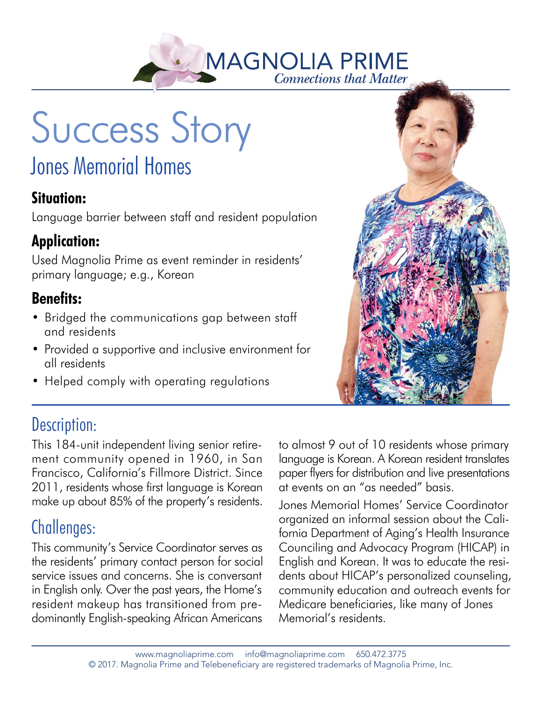

Success Story

# Jones Memorial Homes

#### **Situation:**

Language barrier between staff and resident population

#### **Application:**

Used Magnolia Prime as event reminder in residents' primary language; e.g., Korean

#### **Benefits:**

- Bridged the communications gap between staff and residents
- Provided a supportive and inclusive environment for all residents
- Helped comply with operating regulations



## Description:

This 184-unit independent living senior retirement community opened in 1960, in San Francisco, California's Fillmore District. Since 2011, residents whose first language is Korean make up about 85% of the property's residents.

### Challenges:

This community's Service Coordinator serves as the residents' primary contact person for social service issues and concerns. She is conversant in English only. Over the past years, the Home's resident makeup has transitioned from predominantly English-speaking African Americans

to almost 9 out of 10 residents whose primary language is Korean. A Korean resident translates paper flyers for distribution and live presentations at events on an "as needed" basis.

Jones Memorial Homes' Service Coordinator organized an informal session about the California Department of Aging's Health Insurance Counciling and Advocacy Program (HICAP) in English and Korean. It was to educate the residents about HICAP's personalized counseling, community education and outreach events for Medicare beneficiaries, like many of Jones Memorial's residents.